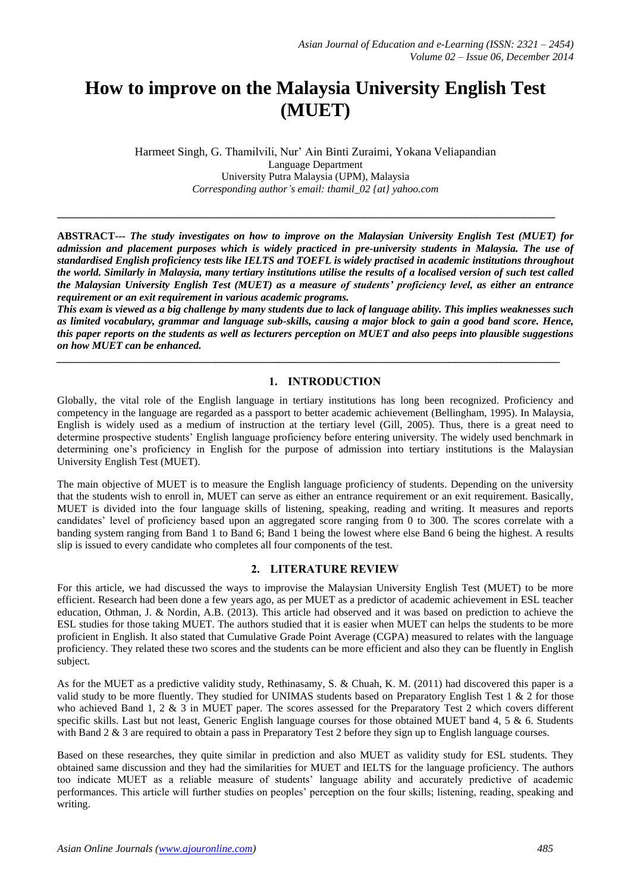# **How to improve on the Malaysia University English Test (MUET)**

Harmeet Singh, G. Thamilvili, Nur' Ain Binti Zuraimi, Yokana Veliapandian Language Department University Putra Malaysia (UPM), Malaysia *Corresponding author's email: thamil\_02 {at} yahoo.com*

**\_\_\_\_\_\_\_\_\_\_\_\_\_\_\_\_\_\_\_\_\_\_\_\_\_\_\_\_\_\_\_\_\_\_\_\_\_\_\_\_\_\_\_\_\_\_\_\_\_\_\_\_\_\_\_\_\_\_\_\_\_\_\_\_\_\_\_\_\_\_\_\_\_\_\_\_\_\_\_\_\_\_\_\_\_\_\_\_\_\_\_\_\_\_**

**ABSTRACT---** *The study investigates on how to improve on the Malaysian University English Test (MUET) for admission and placement purposes which is widely practiced in pre-university students in Malaysia. The use of standardised English proficiency tests like IELTS and TOEFL is widely practised in academic institutions throughout the world. Similarly in Malaysia, many tertiary institutions utilise the results of a localised version of such test called the Malaysian University English Test (MUET) as a measure of students' proficiency level, as either an entrance requirement or an exit requirement in various academic programs.* 

*This exam is viewed as a big challenge by many students due to lack of language ability. This implies weaknesses such as limited vocabulary, grammar and language sub-skills, causing a major block to gain a good band score. Hence, this paper reports on the students as well as lecturers perception on MUET and also peeps into plausible suggestions on how MUET can be enhanced.*

*\_\_\_\_\_\_\_\_\_\_\_\_\_\_\_\_\_\_\_\_\_\_\_\_\_\_\_\_\_\_\_\_\_\_\_\_\_\_\_\_\_\_\_\_\_\_\_\_\_\_\_\_\_\_\_\_\_\_\_\_\_\_\_\_\_\_\_\_\_\_\_\_\_\_\_\_\_\_\_\_\_\_\_\_\_\_\_\_\_\_\_\_\_\_\_*

# **1. INTRODUCTION**

Globally, the vital role of the English language in tertiary institutions has long been recognized. Proficiency and competency in the language are regarded as a passport to better academic achievement (Bellingham, 1995). In Malaysia, English is widely used as a medium of instruction at the tertiary level (Gill, 2005). Thus, there is a great need to determine prospective students' English language proficiency before entering university. The widely used benchmark in determining one's proficiency in English for the purpose of admission into tertiary institutions is the Malaysian University English Test (MUET).

The main objective of MUET is to measure the English language proficiency of students. Depending on the university that the students wish to enroll in, MUET can serve as either an entrance requirement or an exit requirement. Basically, MUET is divided into the four language skills of listening, speaking, reading and writing. It measures and reports candidates' level of proficiency based upon an aggregated score ranging from 0 to 300. The scores correlate with a banding system ranging from Band 1 to Band 6; Band 1 being the lowest where else Band 6 being the highest. A results slip is issued to every candidate who completes all four components of the test.

#### **2. LITERATURE REVIEW**

For this article, we had discussed the ways to improvise the Malaysian University English Test (MUET) to be more efficient. Research had been done a few years ago, as per MUET as a predictor of academic achievement in ESL teacher education, Othman, J. & Nordin, A.B. (2013). This article had observed and it was based on prediction to achieve the ESL studies for those taking MUET. The authors studied that it is easier when MUET can helps the students to be more proficient in English. It also stated that Cumulative Grade Point Average (CGPA) measured to relates with the language proficiency. They related these two scores and the students can be more efficient and also they can be fluently in English subject.

As for the MUET as a predictive validity study, Rethinasamy, S. & Chuah, K. M. (2011) had discovered this paper is a valid study to be more fluently. They studied for UNIMAS students based on Preparatory English Test 1 & 2 for those who achieved Band 1, 2 & 3 in MUET paper. The scores assessed for the Preparatory Test 2 which covers different specific skills. Last but not least, Generic English language courses for those obtained MUET band 4, 5 & 6. Students with Band 2 & 3 are required to obtain a pass in Preparatory Test 2 before they sign up to English language courses.

Based on these researches, they quite similar in prediction and also MUET as validity study for ESL students. They obtained same discussion and they had the similarities for MUET and IELTS for the language proficiency. The authors too indicate MUET as a reliable measure of students' language ability and accurately predictive of academic performances. This article will further studies on peoples' perception on the four skills; listening, reading, speaking and writing.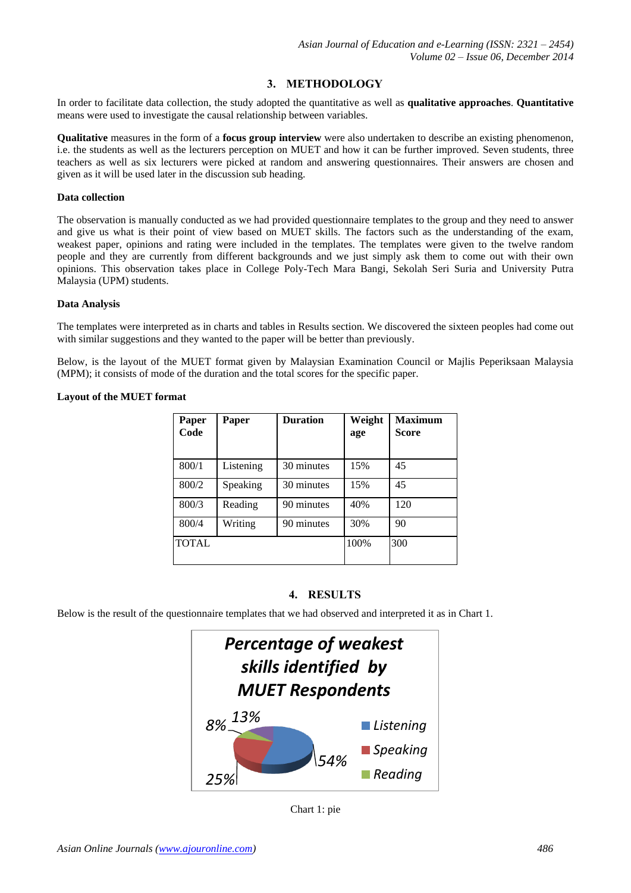# **3. METHODOLOGY**

In order to facilitate data collection, the study adopted the quantitative as well as **qualitative approaches**. **Quantitative** means were used to investigate the causal relationship between variables.

**Qualitative** measures in the form of a **focus group interview** were also undertaken to describe an existing phenomenon, i.e. the students as well as the lecturers perception on MUET and how it can be further improved. Seven students, three teachers as well as six lecturers were picked at random and answering questionnaires. Their answers are chosen and given as it will be used later in the discussion sub heading.

#### **Data collection**

The observation is manually conducted as we had provided questionnaire templates to the group and they need to answer and give us what is their point of view based on MUET skills. The factors such as the understanding of the exam, weakest paper, opinions and rating were included in the templates. The templates were given to the twelve random people and they are currently from different backgrounds and we just simply ask them to come out with their own opinions. This observation takes place in College Poly-Tech Mara Bangi, Sekolah Seri Suria and University Putra Malaysia (UPM) students.

#### **Data Analysis**

The templates were interpreted as in charts and tables in Results section. We discovered the sixteen peoples had come out with similar suggestions and they wanted to the paper will be better than previously.

Below, is the layout of the MUET format given by Malaysian Examination Council or Majlis Peperiksaan Malaysia (MPM); it consists of mode of the duration and the total scores for the specific paper.

#### **Layout of the MUET format**

| Paper<br>Code | Paper     | <b>Duration</b> | Weight<br>age | <b>Maximum</b><br><b>Score</b> |
|---------------|-----------|-----------------|---------------|--------------------------------|
| 800/1         | Listening | 30 minutes      | 15%           | 45                             |
| 800/2         | Speaking  | 30 minutes      | 15%           | 45                             |
| 800/3         | Reading   | 90 minutes      | 40%           | 120                            |
| 800/4         | Writing   | 90 minutes      | 30%           | 90                             |
| <b>TOTAL</b>  |           |                 | 100%          | 300                            |

# **4. RESULTS**

Below is the result of the questionnaire templates that we had observed and interpreted it as in Chart 1.



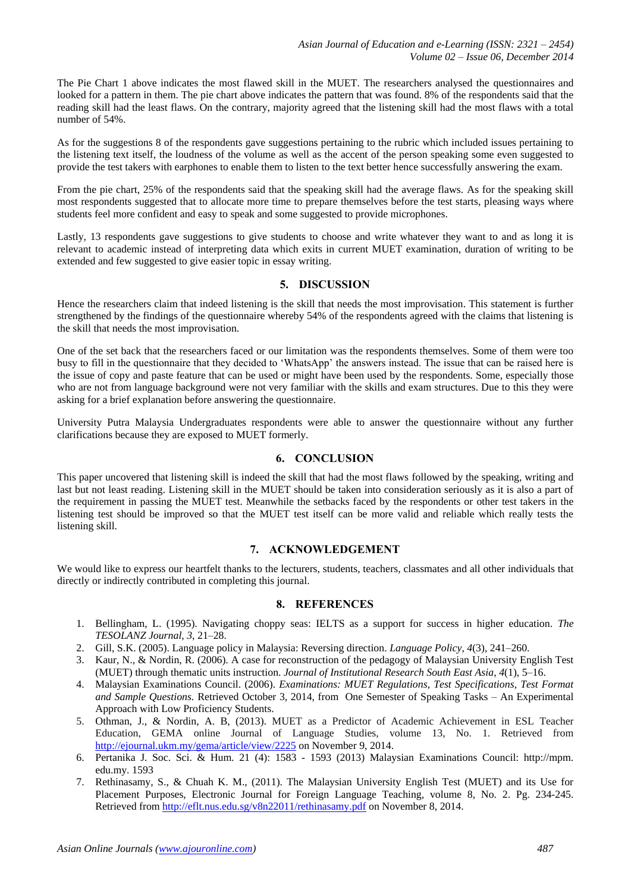The Pie Chart 1 above indicates the most flawed skill in the MUET. The researchers analysed the questionnaires and looked for a pattern in them. The pie chart above indicates the pattern that was found. 8% of the respondents said that the reading skill had the least flaws. On the contrary, majority agreed that the listening skill had the most flaws with a total number of 54%.

As for the suggestions 8 of the respondents gave suggestions pertaining to the rubric which included issues pertaining to the listening text itself, the loudness of the volume as well as the accent of the person speaking some even suggested to provide the test takers with earphones to enable them to listen to the text better hence successfully answering the exam.

From the pie chart, 25% of the respondents said that the speaking skill had the average flaws. As for the speaking skill most respondents suggested that to allocate more time to prepare themselves before the test starts, pleasing ways where students feel more confident and easy to speak and some suggested to provide microphones.

Lastly, 13 respondents gave suggestions to give students to choose and write whatever they want to and as long it is relevant to academic instead of interpreting data which exits in current MUET examination, duration of writing to be extended and few suggested to give easier topic in essay writing.

# **5. DISCUSSION**

Hence the researchers claim that indeed listening is the skill that needs the most improvisation. This statement is further strengthened by the findings of the questionnaire whereby 54% of the respondents agreed with the claims that listening is the skill that needs the most improvisation.

One of the set back that the researchers faced or our limitation was the respondents themselves. Some of them were too busy to fill in the questionnaire that they decided to 'WhatsApp' the answers instead. The issue that can be raised here is the issue of copy and paste feature that can be used or might have been used by the respondents. Some, especially those who are not from language background were not very familiar with the skills and exam structures. Due to this they were asking for a brief explanation before answering the questionnaire.

University Putra Malaysia Undergraduates respondents were able to answer the questionnaire without any further clarifications because they are exposed to MUET formerly.

#### **6. CONCLUSION**

This paper uncovered that listening skill is indeed the skill that had the most flaws followed by the speaking, writing and last but not least reading. Listening skill in the MUET should be taken into consideration seriously as it is also a part of the requirement in passing the MUET test. Meanwhile the setbacks faced by the respondents or other test takers in the listening test should be improved so that the MUET test itself can be more valid and reliable which really tests the listening skill.

#### **7. ACKNOWLEDGEMENT**

We would like to express our heartfelt thanks to the lecturers, students, teachers, classmates and all other individuals that directly or indirectly contributed in completing this journal.

#### **8. REFERENCES**

- 1. Bellingham, L. (1995). Navigating choppy seas: IELTS as a support for success in higher education. *The TESOLANZ Journal*, *3*, 21–28.
- 2. Gill, S.K. (2005). Language policy in Malaysia: Reversing direction. *Language Policy, 4*(3), 241–260.
- 3. Kaur, N., & Nordin, R. (2006). A case for reconstruction of the pedagogy of Malaysian University English Test (MUET) through thematic units instruction. *Journal of Institutional Research South East Asia*, *4*(1), 5–16.
- 4. Malaysian Examinations Council. (2006). *Examinations: MUET Regulations, Test Specifications, Test Format and Sample Questions.* Retrieved October 3, 2014, from One Semester of Speaking Tasks – An Experimental Approach with Low Proficiency Students.
- 5. Othman, J., & Nordin, A. B, (2013). MUET as a Predictor of Academic Achievement in ESL Teacher Education, GEMA online Journal of Language Studies, volume 13, No. 1. Retrieved from <http://ejournal.ukm.my/gema/article/view/2225> on November 9, 2014.
- 6. Pertanika J. Soc. Sci. & Hum. 21 (4): 1583 1593 (2013) Malaysian Examinations Council: http://mpm. edu.my. 1593
- 7. Rethinasamy, S., & Chuah K. M., (2011). The Malaysian University English Test (MUET) and its Use for Placement Purposes, Electronic Journal for Foreign Language Teaching, volume 8, No. 2. Pg. 234-245. Retrieved from<http://eflt.nus.edu.sg/v8n22011/rethinasamy.pdf> on November 8, 2014.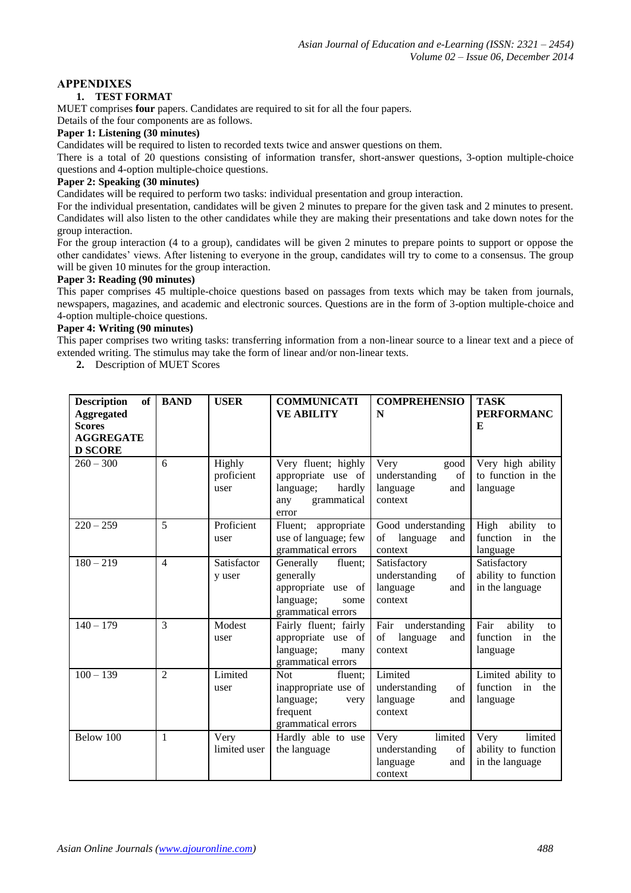# **APPENDIXES**

# **1. TEST FORMAT**

MUET comprises **four** papers. Candidates are required to sit for all the four papers.

Details of the four components are as follows.

# **Paper 1: Listening (30 minutes)**

Candidates will be required to listen to recorded texts twice and answer questions on them.

There is a total of 20 questions consisting of information transfer, short-answer questions, 3-option multiple-choice questions and 4-option multiple-choice questions.

#### **Paper 2: Speaking (30 minutes)**

Candidates will be required to perform two tasks: individual presentation and group interaction.

For the individual presentation, candidates will be given 2 minutes to prepare for the given task and 2 minutes to present. Candidates will also listen to the other candidates while they are making their presentations and take down notes for the group interaction.

For the group interaction (4 to a group), candidates will be given 2 minutes to prepare points to support or oppose the other candidates' views. After listening to everyone in the group, candidates will try to come to a consensus. The group will be given 10 minutes for the group interaction.

### **Paper 3: Reading (90 minutes)**

This paper comprises 45 multiple-choice questions based on passages from texts which may be taken from journals, newspapers, magazines, and academic and electronic sources. Questions are in the form of 3-option multiple-choice and 4-option multiple-choice questions.

# **Paper 4: Writing (90 minutes)**

This paper comprises two writing tasks: transferring information from a non-linear source to a linear text and a piece of extended writing. The stimulus may take the form of linear and/or non-linear texts.

**2.** Description of MUET Scores

| <b>Description</b><br><b>of</b><br><b>Aggregated</b><br><b>Scores</b><br><b>AGGREGATE</b><br><b>D SCORE</b> | <b>BAND</b>    | <b>USER</b>                  | <b>COMMUNICATI</b><br><b>VE ABILITY</b>                                                              | <b>COMPREHENSIO</b><br>N                                             | <b>TASK</b><br><b>PERFORMANC</b><br>E                      |
|-------------------------------------------------------------------------------------------------------------|----------------|------------------------------|------------------------------------------------------------------------------------------------------|----------------------------------------------------------------------|------------------------------------------------------------|
| $260 - 300$                                                                                                 | 6              | Highly<br>proficient<br>user | Very fluent; highly<br>appropriate use of<br>language;<br>hardly<br>grammatical<br>any<br>error      | Very<br>good<br>understanding<br>of<br>language<br>and<br>context    | Very high ability<br>to function in the<br>language        |
| $220 - 259$                                                                                                 | 5              | Proficient<br>user           | appropriate<br>Fluent;<br>use of language; few<br>grammatical errors                                 | Good understanding<br>of language<br>and<br>context                  | High<br>ability<br>to<br>function<br>in<br>the<br>language |
| $180 - 219$                                                                                                 | $\overline{4}$ | Satisfactor<br>y user        | Generally<br>fluent;<br>generally<br>appropriate use of<br>language;<br>some<br>grammatical errors   | Satisfactory<br>understanding<br>of<br>language<br>and<br>context    | Satisfactory<br>ability to function<br>in the language     |
| $140 - 179$                                                                                                 | 3              | Modest<br>user               | Fairly fluent; fairly<br>appropriate use of<br>language;<br>many<br>grammatical errors               | Fair understanding<br>of<br>language<br>and<br>context               | Fair<br>ability<br>to<br>function<br>in<br>the<br>language |
| $100 - 139$                                                                                                 | $\mathfrak{D}$ | Limited<br>user              | <b>Not</b><br>fluent;<br>inappropriate use of<br>language;<br>very<br>frequent<br>grammatical errors | Limited<br>understanding<br>of<br>language<br>and<br>context         | Limited ability to<br>function in<br>the<br>language       |
| Below 100                                                                                                   | $\mathbf{1}$   | Very<br>limited user         | Hardly able to use<br>the language                                                                   | limited<br>Very<br>understanding<br>of<br>language<br>and<br>context | limited<br>Very<br>ability to function<br>in the language  |